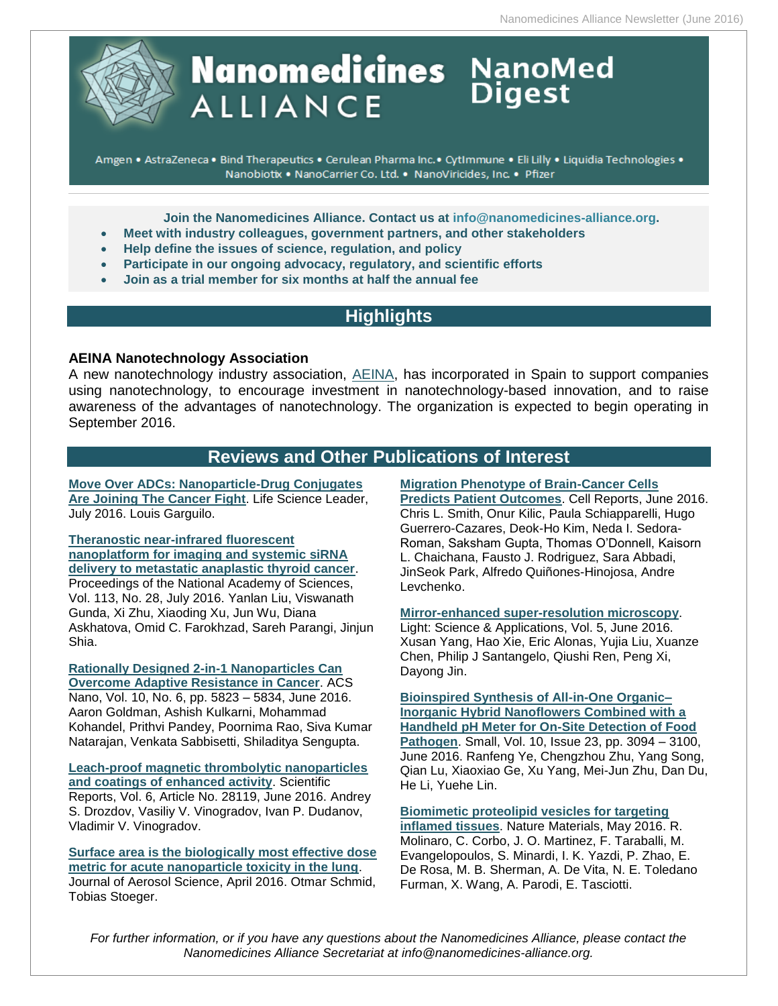

# **Nanomedicines** NanoMed **ALLIANCE**

Amgen . AstraZeneca . Bind Therapeutics . Cerulean Pharma Inc. · CytImmune . Eli Lilly . Liquidia Technologies . Nanobiotix . NanoCarrier Co. Ltd. . NanoViricides, Inc. . Pfizer

**Join the Nanomedicines Alliance. Contact us at [info@nanomedicines-alliance.org.](mailto:info@nanomedicines-alliance.org)**

- **Meet with industry colleagues, government partners, and other stakeholders**
- **Help define the issues of science, regulation, and policy**
- **Participate in our ongoing advocacy, regulatory, and scientific efforts**
- **Join as a trial member for six months at half the annual fee**

# **Highlights**

# **AEINA Nanotechnology Association**

A new nanotechnology industry association, [AEINA,](http://www.nanowerk.com/nanotechnology-news/newsid=43930.php) has incorporated in Spain to support companies using nanotechnology, to encourage investment in nanotechnology-based innovation, and to raise awareness of the advantages of nanotechnology. The organization is expected to begin operating in September 2016.

# **Reviews and Other Publications of Interest**

**[Move Over ADCs: Nanoparticle-Drug Conjugates](http://www.lifescienceleader.com/doc/move-over-adcs-nanoparticle-drug-conjugates-are-joining-the-cancer-fight-0001)  [Are Joining The Cancer Fight](http://www.lifescienceleader.com/doc/move-over-adcs-nanoparticle-drug-conjugates-are-joining-the-cancer-fight-0001)**. Life Science Leader, July 2016. Louis Garguilo.

**[Theranostic near-infrared fluorescent](http://www.pnas.org/content/113/28/7750)  [nanoplatform for imaging and systemic siRNA](http://www.pnas.org/content/113/28/7750)  [delivery to metastatic anaplastic thyroid cancer](http://www.pnas.org/content/113/28/7750)**. Proceedings of the National Academy of Sciences, Vol. 113, No. 28, July 2016. Yanlan Liu, Viswanath Gunda, Xi Zhu, Xiaoding Xu, Jun Wu, Diana Askhatova, Omid C. Farokhzad, Sareh Parangi, Jinjun Shia.

**[Rationally Designed 2-in-1 Nanoparticles Can](http://pubs.acs.org/doi/abs/10.1021/acsnano.6b00320)  [Overcome Adaptive Resistance in Cancer](http://pubs.acs.org/doi/abs/10.1021/acsnano.6b00320)**. ACS Nano, Vol. 10, No. 6, pp. 5823 – 5834, June 2016. Aaron Goldman, Ashish Kulkarni, Mohammad Kohandel, Prithvi Pandey, Poornima Rao, Siva Kumar Natarajan, Venkata Sabbisetti, Shiladitya Sengupta.

**[Leach-proof magnetic thrombolytic nanoparticles](http://www.nature.com/articles/srep28119)  [and coatings of enhanced activity](http://www.nature.com/articles/srep28119)**. Scientific Reports, Vol. 6, Article No. 28119, June 2016. Andrey S. Drozdov, Vasiliy V. Vinogradov, Ivan P. Dudanov, Vladimir V. Vinogradov.

**[Surface area is the biologically most effective dose](http://www.sciencedirect.com/science/article/pii/S0021850215301166)  [metric for acute nanoparticle toxicity in the lung](http://www.sciencedirect.com/science/article/pii/S0021850215301166)**. Journal of Aerosol Science, April 2016. Otmar Schmid, Tobias Stoeger.

# **[Migration Phenotype of Brain-Cancer Cells](http://www.cell.com/cell-reports/abstract/S2211-1247%2816%2930625-8?_returnURL=http%3A%2F%2Flinkinghub.elsevier.com%2Fretrieve%2Fpii%2FS2211124716306258%3Fshowall%3Dtrue)**

**[Predicts Patient Outcomes](http://www.cell.com/cell-reports/abstract/S2211-1247%2816%2930625-8?_returnURL=http%3A%2F%2Flinkinghub.elsevier.com%2Fretrieve%2Fpii%2FS2211124716306258%3Fshowall%3Dtrue)**. Cell Reports, June 2016. Chris L. Smith, Onur Kilic, Paula Schiapparelli, Hugo Guerrero-Cazares, Deok-Ho Kim, Neda I. Sedora-Roman, Saksham Gupta, Thomas O'Donnell, Kaisorn L. Chaichana, Fausto J. Rodriguez, Sara Abbadi, JinSeok Park, Alfredo Quiñones-Hinojosa, Andre Levchenko.

#### **[Mirror-enhanced super-resolution microscopy](http://www.nature.com/lsa/journal/v5/n6/full/lsa2016134a.html)**.

Light: Science & Applications, Vol. 5, June 2016. Xusan Yang, Hao Xie, Eric Alonas, Yujia Liu, Xuanze Chen, Philip J Santangelo, Qiushi Ren, Peng Xi, Dayong Jin.

**[Bioinspired Synthesis of All-in-One Organic–](http://onlinelibrary.wiley.com/doi/10.1002/smll.201600273/abstract;jsessionid=183DAE380144C08BA5095153E339EF92.f02t04) [Inorganic Hybrid Nanoflowers Combined with a](http://onlinelibrary.wiley.com/doi/10.1002/smll.201600273/abstract;jsessionid=183DAE380144C08BA5095153E339EF92.f02t04)  [Handheld pH Meter for On-Site Detection of Food](http://onlinelibrary.wiley.com/doi/10.1002/smll.201600273/abstract;jsessionid=183DAE380144C08BA5095153E339EF92.f02t04)  [Pathogen](http://onlinelibrary.wiley.com/doi/10.1002/smll.201600273/abstract;jsessionid=183DAE380144C08BA5095153E339EF92.f02t04)**. Small, Vol. 10, Issue 23, pp. 3094 – 3100, June 2016. Ranfeng Ye, Chengzhou Zhu, Yang Song, Qian Lu, Xiaoxiao Ge, Xu Yang, Mei-Jun Zhu, Dan Du, He Li, Yuehe Lin.

**[Biomimetic proteolipid vesicles for targeting](http://www.nature.com/nmat/journal/vaop/ncurrent/full/nmat4644.html)  [inflamed tissues](http://www.nature.com/nmat/journal/vaop/ncurrent/full/nmat4644.html)**. Nature Materials, May 2016. R. Molinaro, C. Corbo, J. O. Martinez, F. Taraballi, M. Evangelopoulos, S. Minardi, I. K. Yazdi, P. Zhao, E. De Rosa, M. B. Sherman, A. De Vita, N. E. Toledano Furman, X. Wang, A. Parodi, E. Tasciotti.

*For further information, or if you have any questions about the Nanomedicines Alliance, please contact the Nanomedicines Alliance Secretariat at info@nanomedicines-alliance.org.*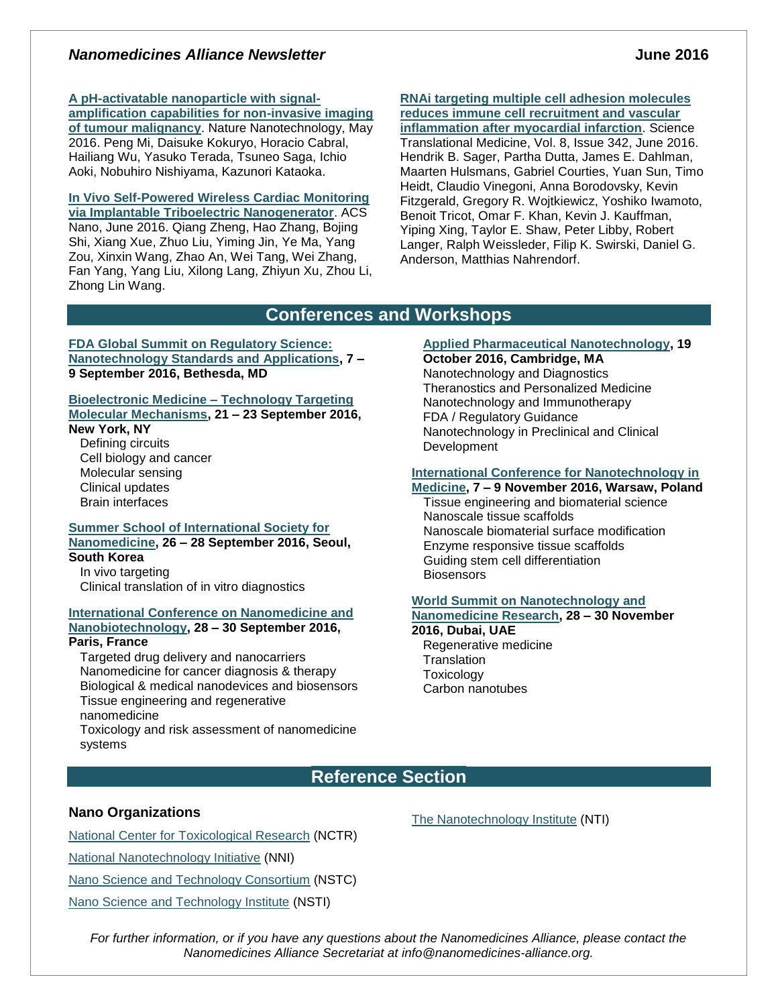# *Nanomedicines Alliance Newsletter* **June 2016**

# **[A pH-activatable nanoparticle with signal-](http://www.nature.com/nnano/journal/vaop/ncurrent/full/nnano.2016.72.html)**

**[amplification capabilities for non-invasive imaging](http://www.nature.com/nnano/journal/vaop/ncurrent/full/nnano.2016.72.html)  [of tumour malignancy](http://www.nature.com/nnano/journal/vaop/ncurrent/full/nnano.2016.72.html)**. Nature Nanotechnology, May 2016. Peng Mi, Daisuke Kokuryo, Horacio Cabral, Hailiang Wu, Yasuko Terada, Tsuneo Saga, Ichio Aoki, Nobuhiro Nishiyama, Kazunori Kataoka.

**[In Vivo Self-Powered Wireless Cardiac Monitoring](http://pubs.acs.org/doi/abs/10.1021/acsnano.6b02693)  [via Implantable Triboelectric Nanogenerator](http://pubs.acs.org/doi/abs/10.1021/acsnano.6b02693)**. ACS Nano, June 2016. Qiang Zheng, Hao Zhang, Bojing Shi, Xiang Xue, Zhuo Liu, Yiming Jin, Ye Ma, Yang Zou, Xinxin Wang, Zhao An, Wei Tang, Wei Zhang, Fan Yang, Yang Liu, Xilong Lang, Zhiyun Xu, Zhou Li, Zhong Lin Wang.

**[RNAi targeting multiple cell adhesion molecules](http://stm.sciencemag.org/content/8/342/342ra80)  [reduces immune cell recruitment and vascular](http://stm.sciencemag.org/content/8/342/342ra80)  [inflammation after myocardial infarction](http://stm.sciencemag.org/content/8/342/342ra80)**. Science Translational Medicine, Vol. 8, Issue 342, June 2016. Hendrik B. Sager, Partha Dutta, James E. Dahlman, Maarten Hulsmans, Gabriel Courties, Yuan Sun, Timo Heidt, Claudio Vinegoni, Anna Borodovsky, Kevin Fitzgerald, Gregory R. Wojtkiewicz, Yoshiko Iwamoto, Benoit Tricot, Omar F. Khan, Kevin J. Kauffman, Yiping Xing, Taylor E. Shaw, Peter Libby, Robert Langer, Ralph Weissleder, Filip K. Swirski, Daniel G. Anderson, Matthias Nahrendorf.

# **Conferences and Workshops**

**[FDA Global Summit on Regulatory Science:](http://www.fda.gov/AboutFDA/CentersOffices/OC/OfficeofScientificandMedicalPrograms/NCTR/WhatWeDo/ucm488022.htm)  [Nanotechnology Standards and Applications,](http://www.fda.gov/AboutFDA/CentersOffices/OC/OfficeofScientificandMedicalPrograms/NCTR/WhatWeDo/ucm488022.htm) 7 – 9 September 2016, Bethesda, MD**

### **[Bioelectronic Medicine –](http://www.nyas.org/Events/Detail.aspx?cid=232a2344-a1dd-461c-bcad-e857cbb6763b) Technology Targeting [Molecular Mechanisms,](http://www.nyas.org/Events/Detail.aspx?cid=232a2344-a1dd-461c-bcad-e857cbb6763b) 21 – 23 September 2016,**

### **New York, NY**

Defining circuits Cell biology and cancer Molecular sensing Clinical updates Brain interfaces

#### **[Summer School of International Society for](http://nanomedicine.or.kr/bbs/board.php?bo_table=notice&wr_id=29&page=2)  [Nanomedicine,](http://nanomedicine.or.kr/bbs/board.php?bo_table=notice&wr_id=29&page=2) 26 – 28 September 2016, Seoul, South Korea**

In vivo targeting Clinical translation of in vitro diagnostics

# **[International Conference on Nanomedicine and](http://premc.org/iconan2016/)**

**[Nanobiotechnology,](http://premc.org/iconan2016/) 28 – 30 September 2016,** 

# **Paris, France**

Targeted drug delivery and nanocarriers Nanomedicine for cancer diagnosis & therapy Biological & medical nanodevices and biosensors Tissue engineering and regenerative nanomedicine

Toxicology and risk assessment of nanomedicine systems

# **[Applied Pharmaceutical Nanotechnology,](http://www.bostonsociety.org/APN/) 19**

**October 2016, Cambridge, MA** Nanotechnology and Diagnostics Theranostics and Personalized Medicine Nanotechnology and Immunotherapy FDA / Regulatory Guidance Nanotechnology in Preclinical and Clinical Development

# **[International Conference for Nanotechnology in](http://www.nanomed.uk.com/topics.html)**

**[Medicine,](http://www.nanomed.uk.com/topics.html) 7 – 9 November 2016, Warsaw, Poland** Tissue engineering and biomaterial science Nanoscale tissue scaffolds Nanoscale biomaterial surface modification Enzyme responsive tissue scaffolds Guiding stem cell differentiation **Biosensors** 

# **[World Summit on Nanotechnology and](http://clytoaccess.com/world-summit-nanotechnology-and-nanomedicine-research)**

#### **[Nanomedicine Research,](http://clytoaccess.com/world-summit-nanotechnology-and-nanomedicine-research) 28 – 30 November 2016, Dubai, UAE**

Regenerative medicine **Translation** Toxicology Carbon nanotubes

# **Reference Section**

# **Nano Organizations**

[National Center for Toxicological Research](http://www.fda.gov/AboutFDA/CentersOffices/NCTR/default.htm) (NCTR) [National Nanotechnology Initiative](http://www.nano.gov/) (NNI) [Nano Science and Technology Consortium](http://www.nstc.in/) (NSTC) [Nano Science and Technology Institute](http://www.nsti.org/) (NSTI)

The [Nanotechnology Institute](http://nanotechinstitute.org/) (NTI)

*For further information, or if you have any questions about the Nanomedicines Alliance, please contact the Nanomedicines Alliance Secretariat at info@nanomedicines-alliance.org.*